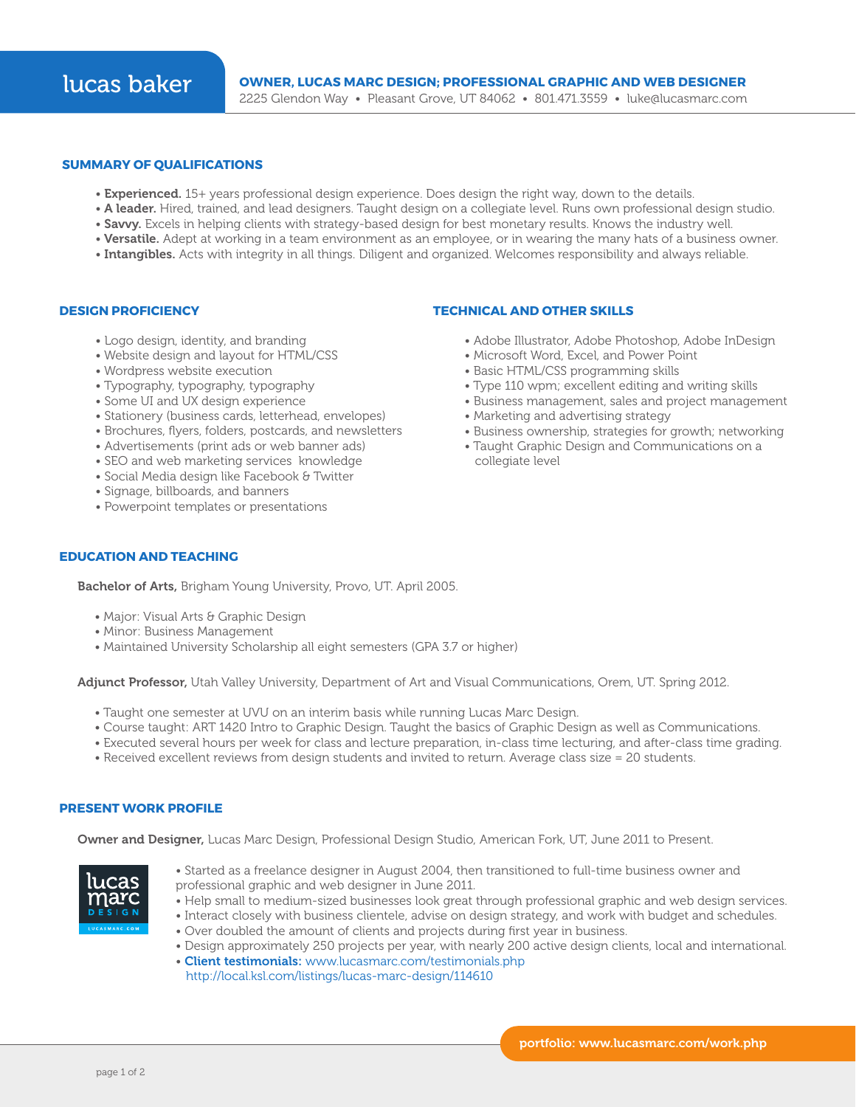### **SUMMARY OF QUALIFICATIONS**

- Experienced. 15+ years professional design experience. Does design the right way, down to the details.
- A leader. Hired, trained, and lead designers. Taught design on a collegiate level. Runs own professional design studio.
- Savvy. Excels in helping clients with strategy-based design for best monetary results. Knows the industry well.
- Versatile. Adept at working in a team environment as an employee, or in wearing the many hats of a business owner.
- Intangibles. Acts with integrity in all things. Diligent and organized. Welcomes responsibility and always reliable.

### **DESIGN PROFICIENCY**

- Logo design, identity, and branding
- Website design and layout for HTML/CSS
- Wordpress website execution
- Typography, typography, typography
- Some UI and UX design experience
- Stationery (business cards, letterhead, envelopes)
- Brochures, flyers, folders, postcards, and newsletters
- Advertisements (print ads or web banner ads)
- SEO and web marketing services knowledge
- Social Media design like Facebook & Twitter
- Signage, billboards, and banners
- 
- Powerpoint templates or presentations

### **TECHNICAL AND OTHER SKILLS**

- Adobe Illustrator, Adobe Photoshop, Adobe InDesign
- Microsoft Word, Excel, and Power Point
- Basic HTML/CSS programming skills
- Type 110 wpm; excellent editing and writing skills
- Business management, sales and project management
- Marketing and advertising strategy
- Business ownership, strategies for growth; networking
- Taught Graphic Design and Communications on a collegiate level

# **EDUCATION AND TEACHING**

Bachelor of Arts, Brigham Young University, Provo, UT. April 2005.

- Major: Visual Arts & Graphic Design
- Minor: Business Management
- Maintained University Scholarship all eight semesters (GPA 3.7 or higher)

Adjunct Professor, Utah Valley University, Department of Art and Visual Communications, Orem, UT. Spring 2012.

- Taught one semester at UVU on an interim basis while running Lucas Marc Design.
- Course taught: ART 1420 Intro to Graphic Design. Taught the basics of Graphic Design as well as Communications.
- Executed several hours per week for class and lecture preparation, in-class time lecturing, and after-class time grading.
- Received excellent reviews from design students and invited to return. Average class size = 20 students.

## **PRESENT WORK PROFILE**

Owner and Designer, Lucas Marc Design, Professional Design Studio, American Fork, UT, June 2011 to Present.



- Started as a freelance designer in August 2004, then transitioned to full-time business owner and professional graphic and web designer in June 2011.
- Help small to medium-sized businesses look great through professional graphic and web design services.
- Interact closely with business clientele, advise on design strategy, and work with budget and schedules.
- Over doubled the amount of clients and projects during first year in business.
- Design approximately 250 projects per year, with nearly 200 active design clients, local and international. • Client testimonials: www.lucasmarc.com/testimonials.php
- http://local.ksl.com/listings/lucas-marc-design/114610